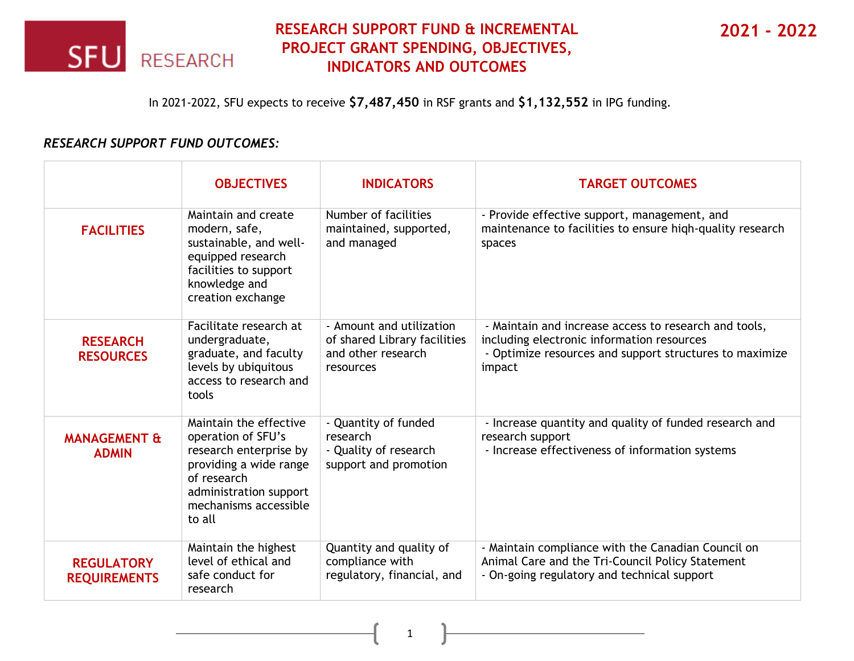

## **RESEARCH SUPPORT FUND & INCREMENTAL PROJECT GRANT SPENDING, OBJECTIVES, INDICATORS AND OUTCOMES**

**2021 - 2022**

In 2021-2022, SFU expects to receive **\$7,487,450** in RSF grants and **\$1,132,552** in IPG funding.

## *RESEARCH SUPPORT FUND OUTCOMES:*

|                                          | <b>OBJECTIVES</b>                                                                                                                                                            | <b>INDICATORS</b>                                                                           | <b>TARGET OUTCOMES</b>                                                                                                                                                   |
|------------------------------------------|------------------------------------------------------------------------------------------------------------------------------------------------------------------------------|---------------------------------------------------------------------------------------------|--------------------------------------------------------------------------------------------------------------------------------------------------------------------------|
| <b>FACILITIES</b>                        | Maintain and create<br>modern, safe,<br>sustainable, and well-<br>equipped research<br>facilities to support<br>knowledge and<br>creation exchange                           | Number of facilities<br>maintained, supported,<br>and managed                               | - Provide effective support, management, and<br>maintenance to facilities to ensure high-quality research<br>spaces                                                      |
| <b>RESEARCH</b><br><b>RESOURCES</b>      | Facilitate research at<br>undergraduate,<br>graduate, and faculty<br>levels by ubiquitous<br>access to research and<br>tools                                                 | - Amount and utilization<br>of shared Library facilities<br>and other research<br>resources | - Maintain and increase access to research and tools,<br>including electronic information resources<br>- Optimize resources and support structures to maximize<br>impact |
| <b>MANAGEMENT &amp;</b><br><b>ADMIN</b>  | Maintain the effective<br>operation of SFU's<br>research enterprise by<br>providing a wide range<br>of research<br>administration support<br>mechanisms accessible<br>to all | - Quantity of funded<br>research<br>- Quality of research<br>support and promotion          | - Increase quantity and quality of funded research and<br>research support<br>- Increase effectiveness of information systems                                            |
| <b>REGULATORY</b><br><b>REQUIREMENTS</b> | Maintain the highest<br>level of ethical and<br>safe conduct for<br>research                                                                                                 | Quantity and quality of<br>compliance with<br>regulatory, financial, and                    | - Maintain compliance with the Canadian Council on<br>Animal Care and the Tri-Council Policy Statement<br>- On-going regulatory and technical support                    |

1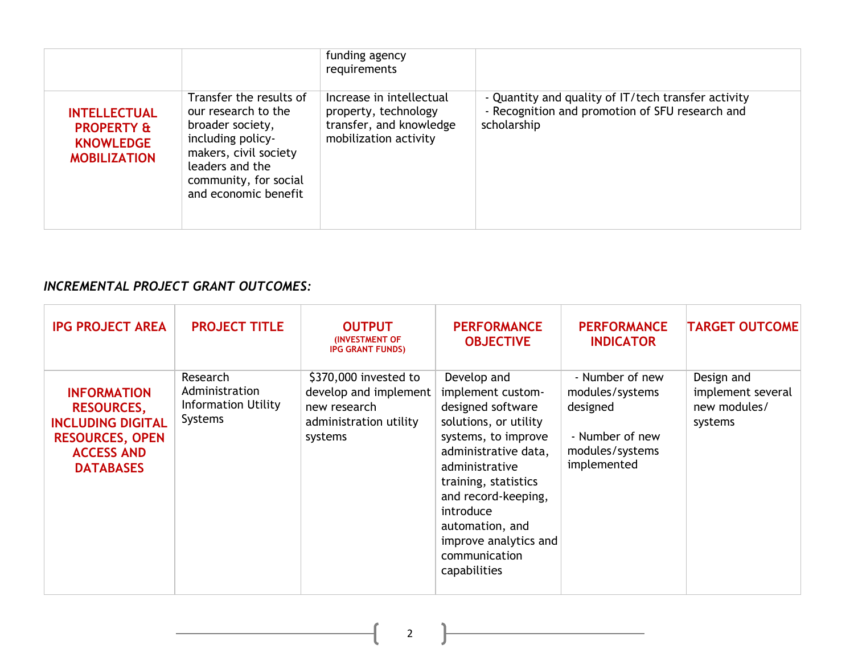|                                                                                         |                                                                                                                                                                                      | funding agency<br>requirements                                                                       |                                                                                                                       |
|-----------------------------------------------------------------------------------------|--------------------------------------------------------------------------------------------------------------------------------------------------------------------------------------|------------------------------------------------------------------------------------------------------|-----------------------------------------------------------------------------------------------------------------------|
| <b>INTELLECTUAL</b><br><b>PROPERTY &amp;</b><br><b>KNOWLEDGE</b><br><b>MOBILIZATION</b> | Transfer the results of<br>our research to the<br>broader society,<br>including policy-<br>makers, civil society<br>leaders and the<br>community, for social<br>and economic benefit | Increase in intellectual<br>property, technology<br>transfer, and knowledge<br>mobilization activity | - Quantity and quality of IT/tech transfer activity<br>- Recognition and promotion of SFU research and<br>scholarship |

## *INCREMENTAL PROJECT GRANT OUTCOMES:*

| <b>IPG PROJECT AREA</b>                                                                                                                | <b>PROJECT TITLE</b>                                                       | <b>OUTPUT</b><br><b>(INVESTMENT OF</b><br><b>IPG GRANT FUNDS)</b>                                   | <b>PERFORMANCE</b><br><b>OBJECTIVE</b>                                                                                                                                                                                                                                                   | <b>PERFORMANCE</b><br><b>INDICATOR</b>                                                              | <b>TARGET OUTCOME</b>                                      |
|----------------------------------------------------------------------------------------------------------------------------------------|----------------------------------------------------------------------------|-----------------------------------------------------------------------------------------------------|------------------------------------------------------------------------------------------------------------------------------------------------------------------------------------------------------------------------------------------------------------------------------------------|-----------------------------------------------------------------------------------------------------|------------------------------------------------------------|
| <b>INFORMATION</b><br><b>RESOURCES,</b><br><b>INCLUDING DIGITAL</b><br><b>RESOURCES, OPEN</b><br><b>ACCESS AND</b><br><b>DATABASES</b> | Research<br>Administration<br><b>Information Utility</b><br><b>Systems</b> | \$370,000 invested to<br>develop and implement<br>new research<br>administration utility<br>systems | Develop and<br>implement custom-<br>designed software<br>solutions, or utility<br>systems, to improve<br>administrative data,<br>administrative<br>training, statistics<br>and record-keeping,<br>introduce<br>automation, and<br>improve analytics and<br>communication<br>capabilities | - Number of new<br>modules/systems<br>designed<br>- Number of new<br>modules/systems<br>implemented | Design and<br>implement several<br>new modules/<br>systems |